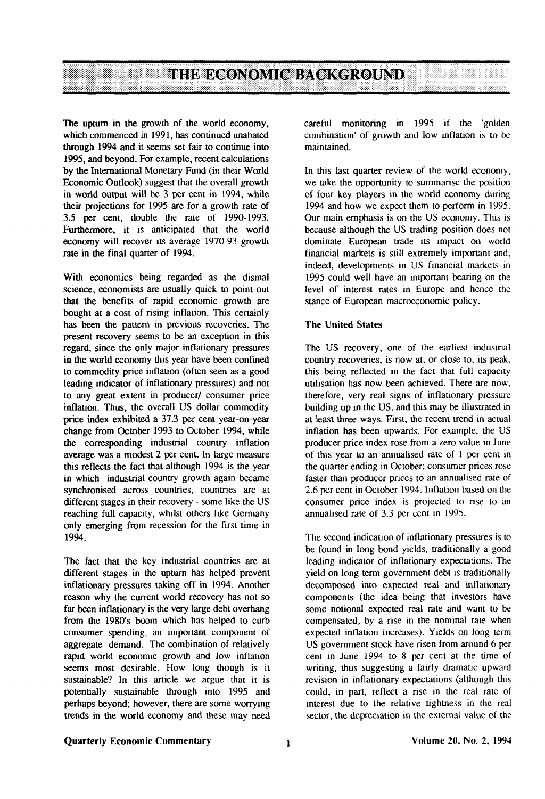# **THE ECONOMIC BACKGROUND**

The upturn in the growth of the world economy, which commenced in 1991, has continued unabated through 1994 and it seems set fair to continue into 1995, and beyond. For example, recent calculations by the International Monetary Fund (in their World Economic Outlook) suggest that the overall growth in world output will be 3 per cent in 1994, while their projections for 1995 are for a growth rate of 3.5 per cent, double the rate of 1990-1993. Furthermore, it is anticipated that the world economy will recover its average 1970-93 growth rate in the final quarter of 1994.

With economics being regarded as the dismal science, economists are usually quick to point out that the benefits of rapid economic growth are bought at a cost of rising inflation. This certainly has been the pattern in previous recoveries. The present recovery seems to be an exception in this regard, since the only major inflationary pressures in the world economy this year have been confined to commodity price inflation (often seen as a good leading indicator of inflationary pressures) and not to any great extent in producer/ consumer price inflation. Thus, the overall US dollar commodity price index exhibited a 37.3 per cent year-on-year change from October 1993 to October 1994, while the corresponding industrial country inflation average was a modest 2 per cent. In large measure this reflects the fact that although 1994 is the year in which industrial country growth again became synchronised across countries, countries are at different stages in their recovery - some like the US reaching full capacity, whilst others like Germany only emerging from recession for the first time in 1994.

The fact that the key industrial countries are at different stages in the upturn has helped prevent inflationary pressures taking off in 1994. Another reason why the current world recovery has not so far been inflationary is the very large debt overhang from the 1980's boom which has helped to curb consumer spending, an important component of aggregate demand. The combination of relatively rapid world economic growth and low inflation seems most desirable. How long though is it sustainable? In this article we argue that it is potentially sustainable through into 1995 and perhaps beyond; however, there are some worrying trends in the world economy and these may need

careful monitoring in 1995 if the 'golden combination' of growth and low inflation is to be maintained.

In this last quarter review of the world economy, we take the opportunity to summarise the position of four key players in the world economy during 1994 and how we expect them to perform in 1995. Our main emphasis is on the US economy. This is because although the US trading position does not dominate European trade its impact on world financial markets is still extremely important and, indeed, developments in US financial markets in 1995 could well have an important bearing on the level of interest rates in Europe and hence the stance of European macroeconomic policy.

#### The United States

The US recovery, one of the earliest industrial country recoveries, is now at, or close to, its peak, this being reflected in the fact that full capacity utilisation has now been achieved. There are now, therefore, very real signs of inflationary pressure building up in the US, and this may be illustrated in at least three ways. First, the recent trend in actual inflation has been upwards. For example, the US producer price index rose from a zero value in June of this year to an annualised rate of 1 per cent in the quarter ending in October; consumer prices rose faster than producer prices to an annualised rate of 2.6 per cent in October 1994. Inflation based on the consumer price index is projected to rise to an annualised rate of 3.3 per cent in 1995.

The second indication of inflationary pressures is to be found in long bond yields, traditionally a good leading indicator of inflationary expectations. The yield on long term government debt is traditionally decomposed into expected real and inflationary components (the idea being that investors have some notional expected real rate and want to be compensated, by a rise in the nominal rate when expected inflation increases). Yields on long term US government stock have risen from around 6 per cent in June 1994 to 8 per cent at the time of writing, thus suggesting a fairly dramatic upward revision in inflationary expectations (although this could, in part, reflect a rise in the real rate of interest due to the relative tightness in the real sector, the depreciation in the external value of the

#### Quarterly Economic Commentary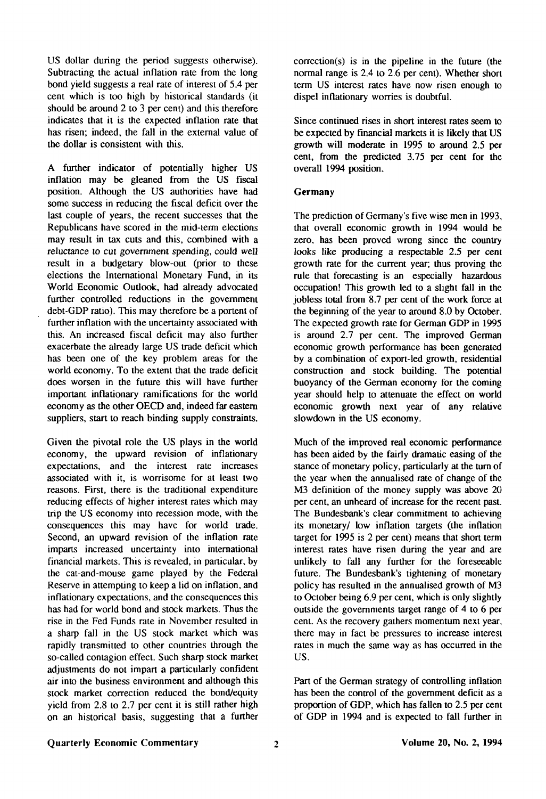US dollar during the period suggests otherwise). Subtracting the actual inflation rate from the long bond yield suggests a real rate of interest of 5.4 per cent which is too high by historical standards (it should be around 2 to 3 per cent) and this therefore indicates that it is the expected inflation rate that has risen; indeed, the fall in the external value of the dollar is consistent with this.

A further indicator of potentially higher US inflation may be gleaned from the US fiscal position. Although the US authorities have had some success in reducing the fiscal deficit over the last couple of years, the recent successes that the Republicans have scored in the mid-term elections may result in tax cuts and this, combined with a reluctance to cut government spending, could well result in a budgetary blow-out (prior to these elections the International Monetary Fund, in its World Economic Outlook, had already advocated further controlled reductions in the government debt-GDP ratio). This may therefore be a portent of further inflation with the uncertainty associated with this. An increased fiscal deficit may also further exacerbate the already large US trade deficit which has been one of the key problem areas for the world economy. To the extent that the trade deficit does worsen in the future this will have further important inflationary ramifications for the world economy as the other OECD and, indeed far eastern suppliers, start to reach binding supply constraints.

Given the pivotal role the US plays in the world economy, the upward revision of inflationary expectations, and the interest rate increases associated with it, is worrisome for at least two reasons. First, there is the traditional expenditure reducing effects of higher interest rates which may trip the US economy into recession mode, with the consequences this may have for world trade. Second, an upward revision of the inflation rate imparts increased uncertainty into international financial markets. This is revealed, in particular, by the cat-and-mouse game played by the Federal Reserve in attempting to keep a lid on inflation, and inflationary expectations, and the consequences this has had for world bond and stock markets. Thus the rise in the Fed Funds rate in November resulted in a sharp fall in the US stock market which was rapidly transmitted to other countries through the so-called contagion effect. Such sharp stock market adjustments do not impart a particularly confident air into the business environment and although this stock market correction reduced the bond/equity yield from 2.8 to 2.7 per cent it is still rather high on an historical basis, suggesting that a further

correction(s) is in the pipeline in the future (the normal range is 2.4 to 2.6 per cent). Whether short term US interest rates have now risen enough to dispel inflationary worries is doubtful.

Since continued rises in short interest rates seem to be expected by financial markets it is likely that US growth will moderate in 1995 to around 2.5 per cent, from the predicted 3.75 per cent for the overall 1994 position.

#### Germany

The prediction of Germany's five wise men in 1993, that overall economic growth in 1994 would be zero, has been proved wrong since the country looks like producing a respectable 2.5 per cent growth rate for the current year; thus proving the rule that forecasting is an especially hazardous occupation! This growth led to a slight fall in the jobless total from 8.7 per cent of the work force at the beginning of the year to around 8.0 by October. The expected growth rate for German GDP in 1995 is around 2.7 per cent. The improved German economic growth performance has been generated by a combination of export-led growth, residential construction and stock building. The potential buoyancy of the German economy for the coming year should help to attenuate the effect on world economic growth next year of any relative slowdown in the US economy.

Much of the improved real economic performance has been aided by the fairly dramatic easing of the stance of monetary policy, particularly at the turn of the year when the annualised rate of change of the M3 definition of the money supply was above 20 per cent, an unheard of increase for the recent past. The Bundesbank's clear commitment to achieving its monetary/ low inflation targets (the inflation target for 1995 is 2 per cent) means that short term interest rates have risen during the year and are unlikely to fall any further for the foreseeable future. The Bundesbank's tightening of monetary policy has resulted in the annualised growth of M3 to October being 6.9 per cent, which is only slightly outside the governments target range of 4 to 6 per cent. As the recovery gathers momentum next year, there may in fact be pressures to increase interest rates in much the same way as has occurred in the US.

Part of the German strategy of controlling inflation has been the control of the government deficit as a proportion of GDP, which has fallen to 2.5 per cent of GDP in 1994 and is expected to fall further in

#### Quarterly Economic Commentary Volume 20, No. 2, 1994